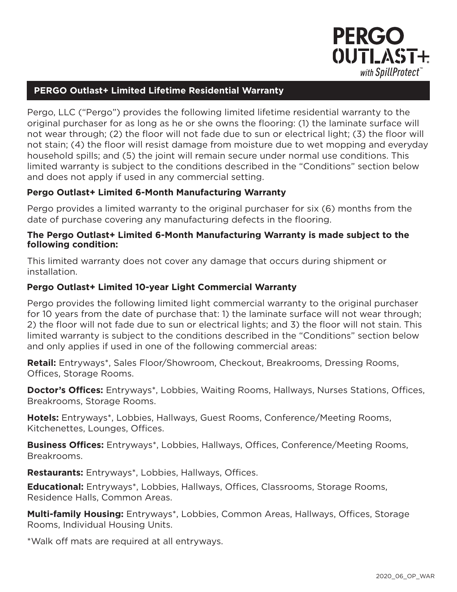

### **PERGO Outlast+ Limited Lifetime Residential Warranty**

Pergo, LLC ("Pergo") provides the following limited lifetime residential warranty to the original purchaser for as long as he or she owns the flooring: (1) the laminate surface will not wear through; (2) the floor will not fade due to sun or electrical light; (3) the floor will not stain; (4) the floor will resist damage from moisture due to wet mopping and everyday household spills; and (5) the joint will remain secure under normal use conditions. This limited warranty is subject to the conditions described in the "Conditions" section below and does not apply if used in any commercial setting.

### **Pergo Outlast+ Limited 6-Month Manufacturing Warranty**

Pergo provides a limited warranty to the original purchaser for six (6) months from the date of purchase covering any manufacturing defects in the flooring.

#### **The Pergo Outlast+ Limited 6-Month Manufacturing Warranty is made subject to the following condition:**

This limited warranty does not cover any damage that occurs during shipment or installation.

#### **Pergo Outlast+ Limited 10-year Light Commercial Warranty**

Pergo provides the following limited light commercial warranty to the original purchaser for 10 years from the date of purchase that: 1) the laminate surface will not wear through; 2) the floor will not fade due to sun or electrical lights; and 3) the floor will not stain. This limited warranty is subject to the conditions described in the "Conditions" section below and only applies if used in one of the following commercial areas:

**Retail:** Entryways\*, Sales Floor/Showroom, Checkout, Breakrooms, Dressing Rooms, Offices, Storage Rooms.

**Doctor's Offices:** Entryways\*, Lobbies, Waiting Rooms, Hallways, Nurses Stations, Offices, Breakrooms, Storage Rooms.

**Hotels:** Entryways\*, Lobbies, Hallways, Guest Rooms, Conference/Meeting Rooms, Kitchenettes, Lounges, Offices.

**Business Offices:** Entryways\*, Lobbies, Hallways, Offices, Conference/Meeting Rooms, Breakrooms.

**Restaurants:** Entryways\*, Lobbies, Hallways, Offices.

**Educational:** Entryways\*, Lobbies, Hallways, Offices, Classrooms, Storage Rooms, Residence Halls, Common Areas.

**Multi-family Housing:** Entryways\*, Lobbies, Common Areas, Hallways, Offices, Storage Rooms, Individual Housing Units.

\*Walk off mats are required at all entryways.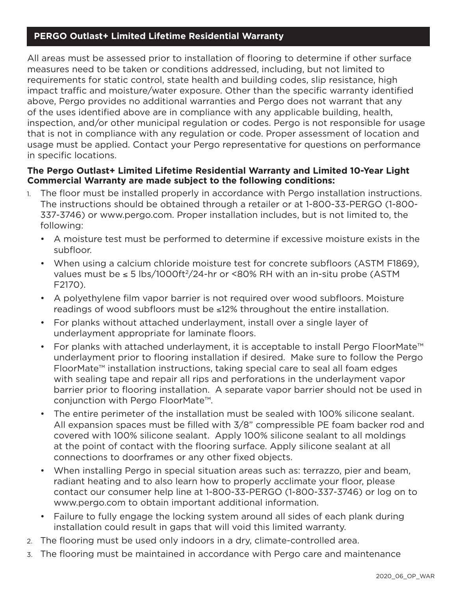# **PERGO Outlast+ Limited Lifetime Residential Warranty**

All areas must be assessed prior to installation of flooring to determine if other surface measures need to be taken or conditions addressed, including, but not limited to requirements for static control, state health and building codes, slip resistance, high impact traffic and moisture/water exposure. Other than the specific warranty identified above, Pergo provides no additional warranties and Pergo does not warrant that any of the uses identified above are in compliance with any applicable building, health, inspection, and/or other municipal regulation or codes. Pergo is not responsible for usage that is not in compliance with any regulation or code. Proper assessment of location and usage must be applied. Contact your Pergo representative for questions on performance in specific locations.

### **The Pergo Outlast+ Limited Lifetime Residential Warranty and Limited 10-Year Light Commercial Warranty are made subject to the following conditions:**

- 1. The floor must be installed properly in accordance with Pergo installation instructions. The instructions should be obtained through a retailer or at 1-800-33-PERGO (1-800- 337-3746) or www.pergo.com. Proper installation includes, but is not limited to, the following:
	- A moisture test must be performed to determine if excessive moisture exists in the subfloor.
	- When using a calcium chloride moisture test for concrete subfloors (ASTM F1869), values must be ≤ 5 lbs/1000ft<sup>2</sup>/24-hr or <80% RH with an in-situ probe (ASTM F2170).
	- A polyethylene film vapor barrier is not required over wood subfloors. Moisture readings of wood subfloors must be ≤12% throughout the entire installation.
	- For planks without attached underlayment, install over a single layer of underlayment appropriate for laminate floors.
	- For planks with attached underlayment, it is acceptable to install Pergo FloorMate™ underlayment prior to flooring installation if desired. Make sure to follow the Pergo FloorMate™ installation instructions, taking special care to seal all foam edges with sealing tape and repair all rips and perforations in the underlayment vapor barrier prior to flooring installation. A separate vapor barrier should not be used in conjunction with Pergo FloorMate™.
	- The entire perimeter of the installation must be sealed with 100% silicone sealant. All expansion spaces must be filled with 3/8" compressible PE foam backer rod and covered with 100% silicone sealant. Apply 100% silicone sealant to all moldings at the point of contact with the flooring surface. Apply silicone sealant at all connections to doorframes or any other fixed objects.
	- When installing Pergo in special situation areas such as: terrazzo, pier and beam, radiant heating and to also learn how to properly acclimate your floor, please contact our consumer help line at 1-800-33-PERGO (1-800-337-3746) or log on to www.pergo.com to obtain important additional information.
	- Failure to fully engage the locking system around all sides of each plank during installation could result in gaps that will void this limited warranty.
- 2. The flooring must be used only indoors in a dry, climate-controlled area.
- 3. The flooring must be maintained in accordance with Pergo care and maintenance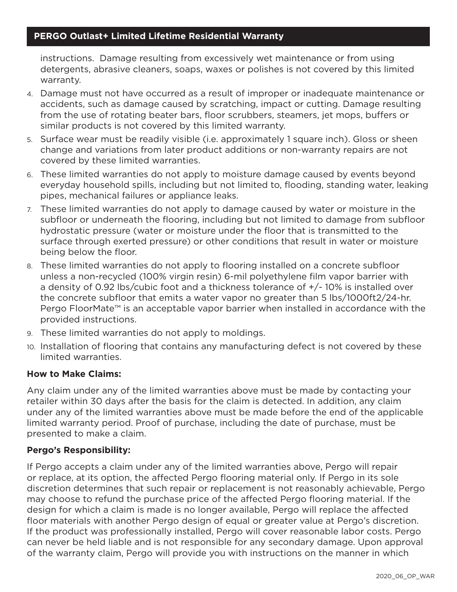instructions. Damage resulting from excessively wet maintenance or from using detergents, abrasive cleaners, soaps, waxes or polishes is not covered by this limited warranty.

- 4. Damage must not have occurred as a result of improper or inadequate maintenance or accidents, such as damage caused by scratching, impact or cutting. Damage resulting from the use of rotating beater bars, floor scrubbers, steamers, jet mops, buffers or similar products is not covered by this limited warranty.
- 5. Surface wear must be readily visible (i.e. approximately 1 square inch). Gloss or sheen change and variations from later product additions or non-warranty repairs are not covered by these limited warranties.
- 6. These limited warranties do not apply to moisture damage caused by events beyond everyday household spills, including but not limited to, flooding, standing water, leaking pipes, mechanical failures or appliance leaks.
- 7. These limited warranties do not apply to damage caused by water or moisture in the subfloor or underneath the flooring, including but not limited to damage from subfloor hydrostatic pressure (water or moisture under the floor that is transmitted to the surface through exerted pressure) or other conditions that result in water or moisture being below the floor.
- 8. These limited warranties do not apply to flooring installed on a concrete subfloor unless a non-recycled (100% virgin resin) 6-mil polyethylene film vapor barrier with a density of 0.92 lbs/cubic foot and a thickness tolerance of  $+/$ -10% is installed over the concrete subfloor that emits a water vapor no greater than 5 lbs/1000ft2/24-hr. Pergo FloorMate™ is an acceptable vapor barrier when installed in accordance with the provided instructions.
- 9. These limited warranties do not apply to moldings.
- 10. Installation of flooring that contains any manufacturing defect is not covered by these limited warranties.

# **How to Make Claims:**

Any claim under any of the limited warranties above must be made by contacting your retailer within 30 days after the basis for the claim is detected. In addition, any claim under any of the limited warranties above must be made before the end of the applicable limited warranty period. Proof of purchase, including the date of purchase, must be presented to make a claim.

# **Pergo's Responsibility:**

If Pergo accepts a claim under any of the limited warranties above, Pergo will repair or replace, at its option, the affected Pergo flooring material only. If Pergo in its sole discretion determines that such repair or replacement is not reasonably achievable, Pergo may choose to refund the purchase price of the affected Pergo flooring material. If the design for which a claim is made is no longer available, Pergo will replace the affected floor materials with another Pergo design of equal or greater value at Pergo's discretion. If the product was professionally installed, Pergo will cover reasonable labor costs. Pergo can never be held liable and is not responsible for any secondary damage. Upon approval of the warranty claim, Pergo will provide you with instructions on the manner in which